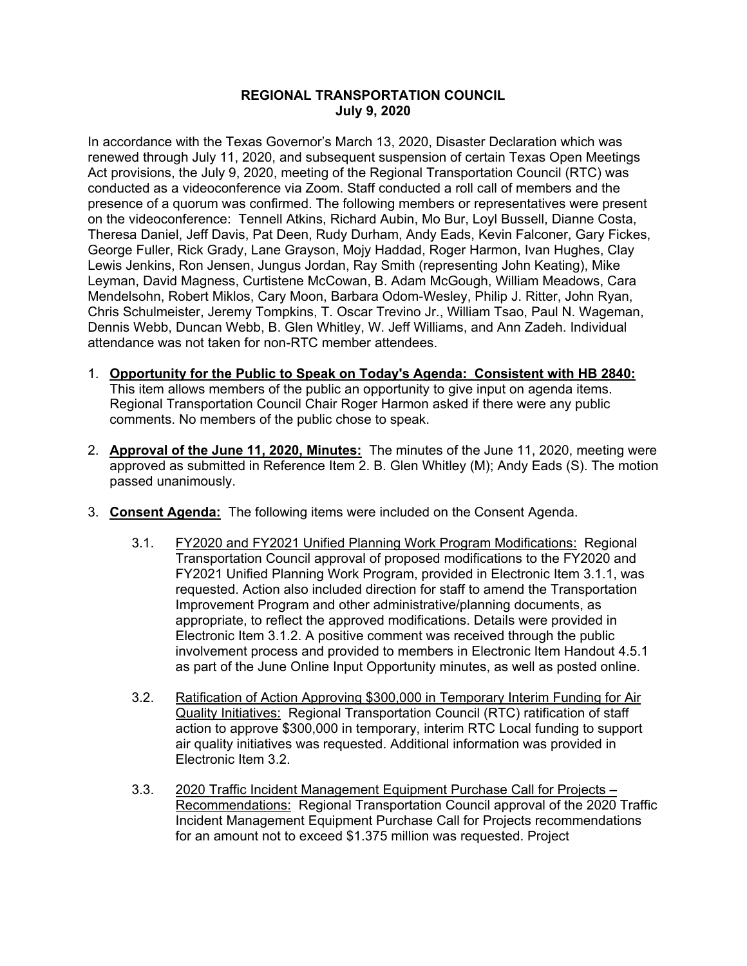## **REGIONAL TRANSPORTATION COUNCIL July 9, 2020**

In accordance with the Texas Governor's March 13, 2020, Disaster Declaration which was renewed through July 11, 2020, and subsequent suspension of certain Texas Open Meetings Act provisions, the July 9, 2020, meeting of the Regional Transportation Council (RTC) was conducted as a videoconference via Zoom. Staff conducted a roll call of members and the presence of a quorum was confirmed. The following members or representatives were present on the videoconference: Tennell Atkins, Richard Aubin, Mo Bur, Loyl Bussell, Dianne Costa, Theresa Daniel, Jeff Davis, Pat Deen, Rudy Durham, Andy Eads, Kevin Falconer, Gary Fickes, George Fuller, Rick Grady, Lane Grayson, Mojy Haddad, Roger Harmon, Ivan Hughes, Clay Lewis Jenkins, Ron Jensen, Jungus Jordan, Ray Smith (representing John Keating), Mike Leyman, David Magness, Curtistene McCowan, B. Adam McGough, William Meadows, Cara Mendelsohn, Robert Miklos, Cary Moon, Barbara Odom-Wesley, Philip J. Ritter, John Ryan, Chris Schulmeister, Jeremy Tompkins, T. Oscar Trevino Jr., William Tsao, Paul N. Wageman, Dennis Webb, Duncan Webb, B. Glen Whitley, W. Jeff Williams, and Ann Zadeh. Individual attendance was not taken for non-RTC member attendees.

- 1. **Opportunity for the Public to Speak on Today's Agenda: Consistent with HB 2840:** This item allows members of the public an opportunity to give input on agenda items. Regional Transportation Council Chair Roger Harmon asked if there were any public comments. No members of the public chose to speak.
- 2. **Approval of the June 11, 2020, Minutes:** The minutes of the June 11, 2020, meeting were approved as submitted in Reference Item 2. B. Glen Whitley (M); Andy Eads (S). The motion passed unanimously.
- 3. **Consent Agenda:** The following items were included on the Consent Agenda.
	- 3.1. FY2020 and FY2021 Unified Planning Work Program Modifications: Regional Transportation Council approval of proposed modifications to the FY2020 and FY2021 Unified Planning Work Program, provided in Electronic Item 3.1.1, was requested. Action also included direction for staff to amend the Transportation Improvement Program and other administrative/planning documents, as appropriate, to reflect the approved modifications. Details were provided in Electronic Item 3.1.2. A positive comment was received through the public involvement process and provided to members in Electronic Item Handout 4.5.1 as part of the June Online Input Opportunity minutes, as well as posted online.
	- 3.2. Ratification of Action Approving \$300,000 in Temporary Interim Funding for Air Quality Initiatives: Regional Transportation Council (RTC) ratification of staff action to approve \$300,000 in temporary, interim RTC Local funding to support air quality initiatives was requested. Additional information was provided in Electronic Item 3.2.
	- 3.3. 2020 Traffic Incident Management Equipment Purchase Call for Projects Recommendations: Regional Transportation Council approval of the 2020 Traffic Incident Management Equipment Purchase Call for Projects recommendations for an amount not to exceed \$1.375 million was requested. Project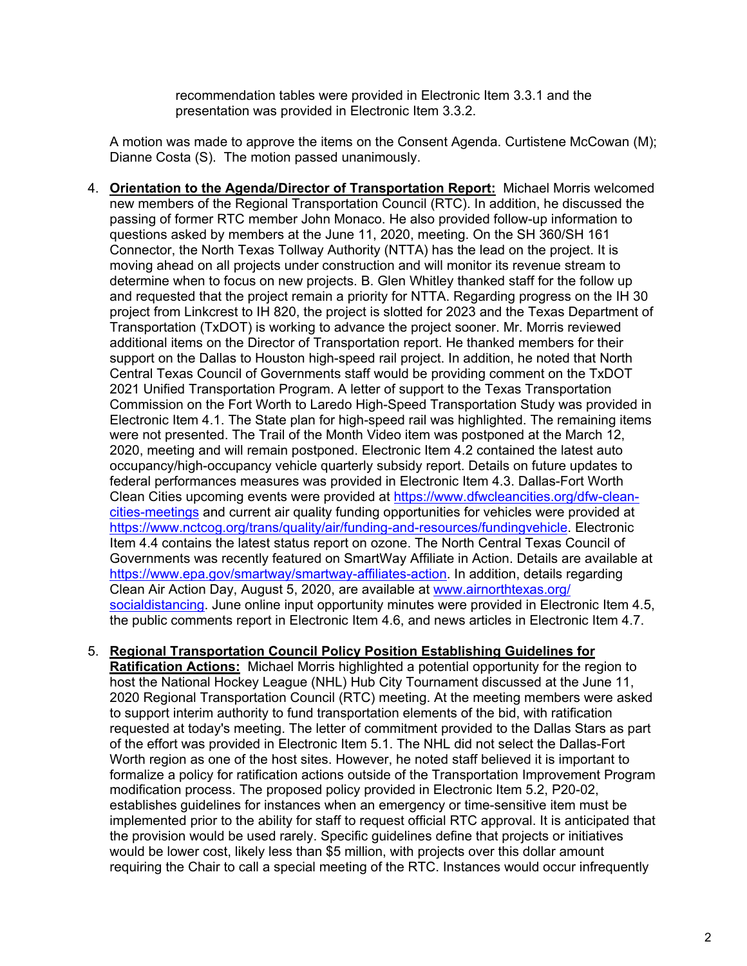recommendation tables were provided in Electronic Item 3.3.1 and the presentation was provided in Electronic Item 3.3.2.

A motion was made to approve the items on the Consent Agenda. Curtistene McCowan (M); Dianne Costa (S). The motion passed unanimously.

4. **Orientation to the Agenda/Director of Transportation Report:** Michael Morris welcomed new members of the Regional Transportation Council (RTC). In addition, he discussed the passing of former RTC member John Monaco. He also provided follow-up information to questions asked by members at the June 11, 2020, meeting. On the SH 360/SH 161 Connector, the North Texas Tollway Authority (NTTA) has the lead on the project. It is moving ahead on all projects under construction and will monitor its revenue stream to determine when to focus on new projects. B. Glen Whitley thanked staff for the follow up and requested that the project remain a priority for NTTA. Regarding progress on the IH 30 project from Linkcrest to IH 820, the project is slotted for 2023 and the Texas Department of Transportation (TxDOT) is working to advance the project sooner. Mr. Morris reviewed additional items on the Director of Transportation report. He thanked members for their support on the Dallas to Houston high-speed rail project. In addition, he noted that North Central Texas Council of Governments staff would be providing comment on the TxDOT 2021 Unified Transportation Program. A letter of support to the Texas Transportation Commission on the Fort Worth to Laredo High-Speed Transportation Study was provided in Electronic Item 4.1. The State plan for high-speed rail was highlighted. The remaining items were not presented. The Trail of the Month Video item was postponed at the March 12, 2020, meeting and will remain postponed. Electronic Item 4.2 contained the latest auto occupancy/high-occupancy vehicle quarterly subsidy report. Details on future updates to federal performances measures was provided in Electronic Item 4.3. Dallas-Fort Worth Clean Cities upcoming events were provided at [https://www.dfwcleancities.org/dfw-clean](https://www.dfwcleancities.org/dfw-clean-cities-meetings)[cities-meetings](https://www.dfwcleancities.org/dfw-clean-cities-meetings) and current air quality funding opportunities for vehicles were provided at [https://www.nctcog.org/trans/quality/air/funding-and-resources/fundingvehicle.](https://www.nctcog.org/trans/quality/air/funding-and-resources/fundingvehicle) Electronic Item 4.4 contains the latest status report on ozone. The North Central Texas Council of Governments was recently featured on SmartWay Affiliate in Action. Details are available at [https://www.epa.gov/smartway/smartway-affiliates-action.](https://www.epa.gov/smartway/smartway-affiliates-action) In addition, details regarding Clean Air Action Day, August 5, 2020, are available at [www.airnorthtexas.org/](http://www.airnorthtexas.org/socialdistancing) [socialdistancing.](http://www.airnorthtexas.org/socialdistancing) June online input opportunity minutes were provided in Electronic Item 4.5, the public comments report in Electronic Item 4.6, and news articles in Electronic Item 4.7.

## 5. **Regional Transportation Council Policy Position Establishing Guidelines for**

**Ratification Actions:** Michael Morris highlighted a potential opportunity for the region to host the National Hockey League (NHL) Hub City Tournament discussed at the June 11, 2020 Regional Transportation Council (RTC) meeting. At the meeting members were asked to support interim authority to fund transportation elements of the bid, with ratification requested at today's meeting. The letter of commitment provided to the Dallas Stars as part of the effort was provided in Electronic Item 5.1. The NHL did not select the Dallas-Fort Worth region as one of the host sites. However, he noted staff believed it is important to formalize a policy for ratification actions outside of the Transportation Improvement Program modification process. The proposed policy provided in Electronic Item 5.2, P20-02, establishes guidelines for instances when an emergency or time-sensitive item must be implemented prior to the ability for staff to request official RTC approval. It is anticipated that the provision would be used rarely. Specific guidelines define that projects or initiatives would be lower cost, likely less than \$5 million, with projects over this dollar amount requiring the Chair to call a special meeting of the RTC. Instances would occur infrequently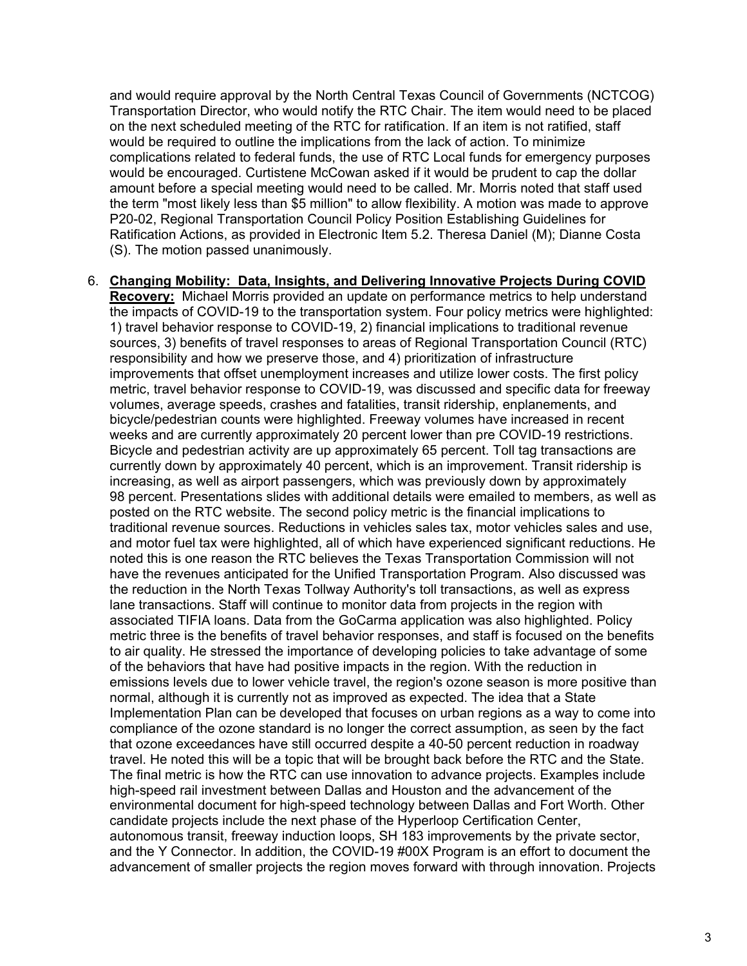and would require approval by the North Central Texas Council of Governments (NCTCOG) Transportation Director, who would notify the RTC Chair. The item would need to be placed on the next scheduled meeting of the RTC for ratification. If an item is not ratified, staff would be required to outline the implications from the lack of action. To minimize complications related to federal funds, the use of RTC Local funds for emergency purposes would be encouraged. Curtistene McCowan asked if it would be prudent to cap the dollar amount before a special meeting would need to be called. Mr. Morris noted that staff used the term "most likely less than \$5 million" to allow flexibility. A motion was made to approve P20-02, Regional Transportation Council Policy Position Establishing Guidelines for Ratification Actions, as provided in Electronic Item 5.2. Theresa Daniel (M); Dianne Costa (S). The motion passed unanimously.

6. **Changing Mobility: Data, Insights, and Delivering Innovative Projects During COVID Recovery:** Michael Morris provided an update on performance metrics to help understand the impacts of COVID-19 to the transportation system. Four policy metrics were highlighted: 1) travel behavior response to COVID-19, 2) financial implications to traditional revenue sources, 3) benefits of travel responses to areas of Regional Transportation Council (RTC) responsibility and how we preserve those, and 4) prioritization of infrastructure improvements that offset unemployment increases and utilize lower costs. The first policy metric, travel behavior response to COVID-19, was discussed and specific data for freeway volumes, average speeds, crashes and fatalities, transit ridership, enplanements, and bicycle/pedestrian counts were highlighted. Freeway volumes have increased in recent weeks and are currently approximately 20 percent lower than pre COVID-19 restrictions. Bicycle and pedestrian activity are up approximately 65 percent. Toll tag transactions are currently down by approximately 40 percent, which is an improvement. Transit ridership is increasing, as well as airport passengers, which was previously down by approximately 98 percent. Presentations slides with additional details were emailed to members, as well as posted on the RTC website. The second policy metric is the financial implications to traditional revenue sources. Reductions in vehicles sales tax, motor vehicles sales and use, and motor fuel tax were highlighted, all of which have experienced significant reductions. He noted this is one reason the RTC believes the Texas Transportation Commission will not have the revenues anticipated for the Unified Transportation Program. Also discussed was the reduction in the North Texas Tollway Authority's toll transactions, as well as express lane transactions. Staff will continue to monitor data from projects in the region with associated TIFIA loans. Data from the GoCarma application was also highlighted. Policy metric three is the benefits of travel behavior responses, and staff is focused on the benefits to air quality. He stressed the importance of developing policies to take advantage of some of the behaviors that have had positive impacts in the region. With the reduction in emissions levels due to lower vehicle travel, the region's ozone season is more positive than normal, although it is currently not as improved as expected. The idea that a State Implementation Plan can be developed that focuses on urban regions as a way to come into compliance of the ozone standard is no longer the correct assumption, as seen by the fact that ozone exceedances have still occurred despite a 40-50 percent reduction in roadway travel. He noted this will be a topic that will be brought back before the RTC and the State. The final metric is how the RTC can use innovation to advance projects. Examples include high-speed rail investment between Dallas and Houston and the advancement of the environmental document for high-speed technology between Dallas and Fort Worth. Other candidate projects include the next phase of the Hyperloop Certification Center, autonomous transit, freeway induction loops, SH 183 improvements by the private sector, and the Y Connector. In addition, the COVID-19 #00X Program is an effort to document the advancement of smaller projects the region moves forward with through innovation. Projects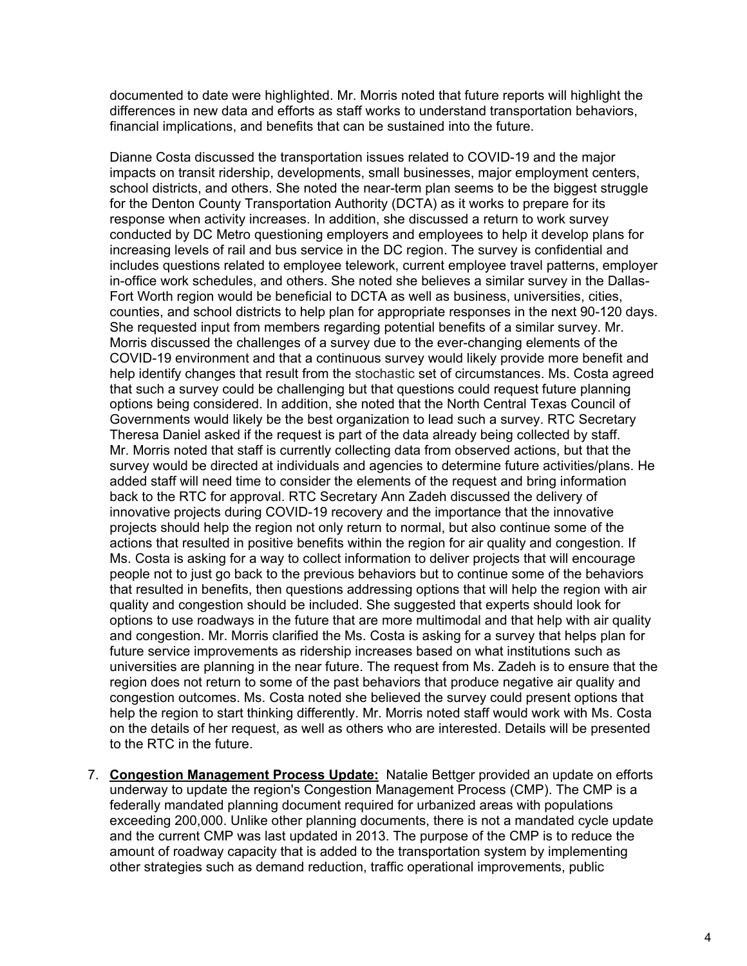documented to date were highlighted. Mr. Morris noted that future reports will highlight the differences in new data and efforts as staff works to understand transportation behaviors, financial implications, and benefits that can be sustained into the future.

Dianne Costa discussed the transportation issues related to COVID-19 and the major impacts on transit ridership, developments, small businesses, major employment centers, school districts, and others. She noted the near-term plan seems to be the biggest struggle for the Denton County Transportation Authority (DCTA) as it works to prepare for its response when activity increases. In addition, she discussed a return to work survey conducted by DC Metro questioning employers and employees to help it develop plans for increasing levels of rail and bus service in the DC region. The survey is confidential and includes questions related to employee telework, current employee travel patterns, employer in-office work schedules, and others. She noted she believes a similar survey in the Dallas-Fort Worth region would be beneficial to DCTA as well as business, universities, cities, counties, and school districts to help plan for appropriate responses in the next 90-120 days. She requested input from members regarding potential benefits of a similar survey. Mr. Morris discussed the challenges of a survey due to the ever-changing elements of the COVID-19 environment and that a continuous survey would likely provide more benefit and help identify changes that result from the stochastic set of circumstances. Ms. Costa agreed that such a survey could be challenging but that questions could request future planning options being considered. In addition, she noted that the North Central Texas Council of Governments would likely be the best organization to lead such a survey. RTC Secretary Theresa Daniel asked if the request is part of the data already being collected by staff. Mr. Morris noted that staff is currently collecting data from observed actions, but that the survey would be directed at individuals and agencies to determine future activities/plans. He added staff will need time to consider the elements of the request and bring information back to the RTC for approval. RTC Secretary Ann Zadeh discussed the delivery of innovative projects during COVID-19 recovery and the importance that the innovative projects should help the region not only return to normal, but also continue some of the actions that resulted in positive benefits within the region for air quality and congestion. If Ms. Costa is asking for a way to collect information to deliver projects that will encourage people not to just go back to the previous behaviors but to continue some of the behaviors that resulted in benefits, then questions addressing options that will help the region with air quality and congestion should be included. She suggested that experts should look for options to use roadways in the future that are more multimodal and that help with air quality and congestion. Mr. Morris clarified the Ms. Costa is asking for a survey that helps plan for future service improvements as ridership increases based on what institutions such as universities are planning in the near future. The request from Ms. Zadeh is to ensure that the region does not return to some of the past behaviors that produce negative air quality and congestion outcomes. Ms. Costa noted she believed the survey could present options that help the region to start thinking differently. Mr. Morris noted staff would work with Ms. Costa on the details of her request, as well as others who are interested. Details will be presented to the RTC in the future.

7. **Congestion Management Process Update:** Natalie Bettger provided an update on efforts underway to update the region's Congestion Management Process (CMP). The CMP is a federally mandated planning document required for urbanized areas with populations exceeding 200,000. Unlike other planning documents, there is not a mandated cycle update and the current CMP was last updated in 2013. The purpose of the CMP is to reduce the amount of roadway capacity that is added to the transportation system by implementing other strategies such as demand reduction, traffic operational improvements, public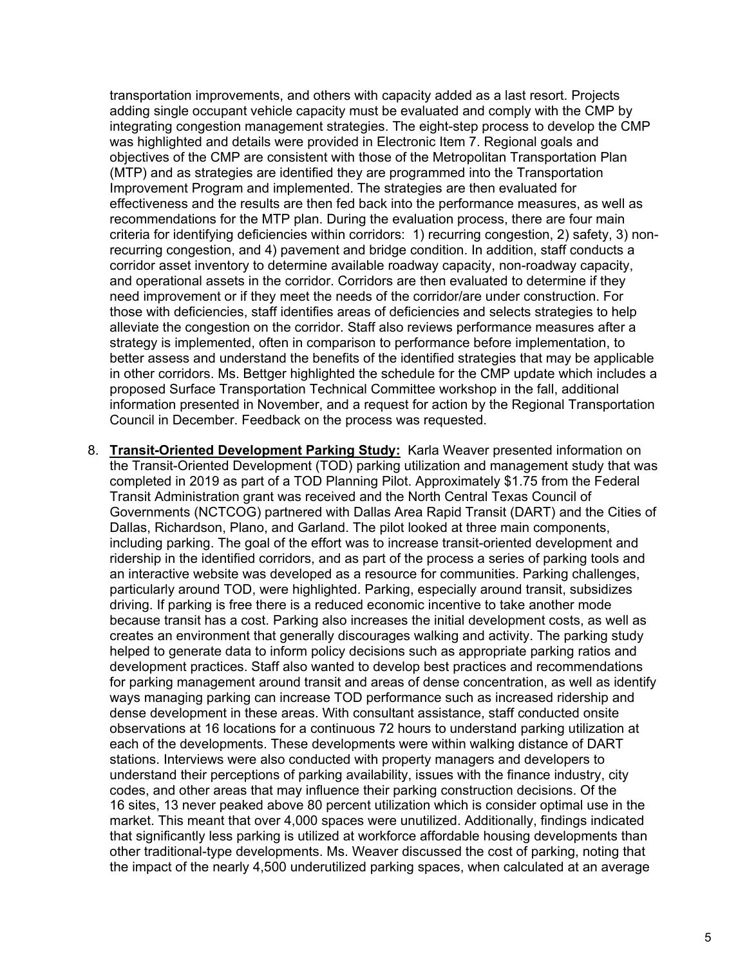transportation improvements, and others with capacity added as a last resort. Projects adding single occupant vehicle capacity must be evaluated and comply with the CMP by integrating congestion management strategies. The eight-step process to develop the CMP was highlighted and details were provided in Electronic Item 7. Regional goals and objectives of the CMP are consistent with those of the Metropolitan Transportation Plan (MTP) and as strategies are identified they are programmed into the Transportation Improvement Program and implemented. The strategies are then evaluated for effectiveness and the results are then fed back into the performance measures, as well as recommendations for the MTP plan. During the evaluation process, there are four main criteria for identifying deficiencies within corridors: 1) recurring congestion, 2) safety, 3) nonrecurring congestion, and 4) pavement and bridge condition. In addition, staff conducts a corridor asset inventory to determine available roadway capacity, non-roadway capacity, and operational assets in the corridor. Corridors are then evaluated to determine if they need improvement or if they meet the needs of the corridor/are under construction. For those with deficiencies, staff identifies areas of deficiencies and selects strategies to help alleviate the congestion on the corridor. Staff also reviews performance measures after a strategy is implemented, often in comparison to performance before implementation, to better assess and understand the benefits of the identified strategies that may be applicable in other corridors. Ms. Bettger highlighted the schedule for the CMP update which includes a proposed Surface Transportation Technical Committee workshop in the fall, additional information presented in November, and a request for action by the Regional Transportation Council in December. Feedback on the process was requested.

8. **Transit-Oriented Development Parking Study:** Karla Weaver presented information on the Transit-Oriented Development (TOD) parking utilization and management study that was completed in 2019 as part of a TOD Planning Pilot. Approximately \$1.75 from the Federal Transit Administration grant was received and the North Central Texas Council of Governments (NCTCOG) partnered with Dallas Area Rapid Transit (DART) and the Cities of Dallas, Richardson, Plano, and Garland. The pilot looked at three main components, including parking. The goal of the effort was to increase transit-oriented development and ridership in the identified corridors, and as part of the process a series of parking tools and an interactive website was developed as a resource for communities. Parking challenges, particularly around TOD, were highlighted. Parking, especially around transit, subsidizes driving. If parking is free there is a reduced economic incentive to take another mode because transit has a cost. Parking also increases the initial development costs, as well as creates an environment that generally discourages walking and activity. The parking study helped to generate data to inform policy decisions such as appropriate parking ratios and development practices. Staff also wanted to develop best practices and recommendations for parking management around transit and areas of dense concentration, as well as identify ways managing parking can increase TOD performance such as increased ridership and dense development in these areas. With consultant assistance, staff conducted onsite observations at 16 locations for a continuous 72 hours to understand parking utilization at each of the developments. These developments were within walking distance of DART stations. Interviews were also conducted with property managers and developers to understand their perceptions of parking availability, issues with the finance industry, city codes, and other areas that may influence their parking construction decisions. Of the 16 sites, 13 never peaked above 80 percent utilization which is consider optimal use in the market. This meant that over 4,000 spaces were unutilized. Additionally, findings indicated that significantly less parking is utilized at workforce affordable housing developments than other traditional-type developments. Ms. Weaver discussed the cost of parking, noting that the impact of the nearly 4,500 underutilized parking spaces, when calculated at an average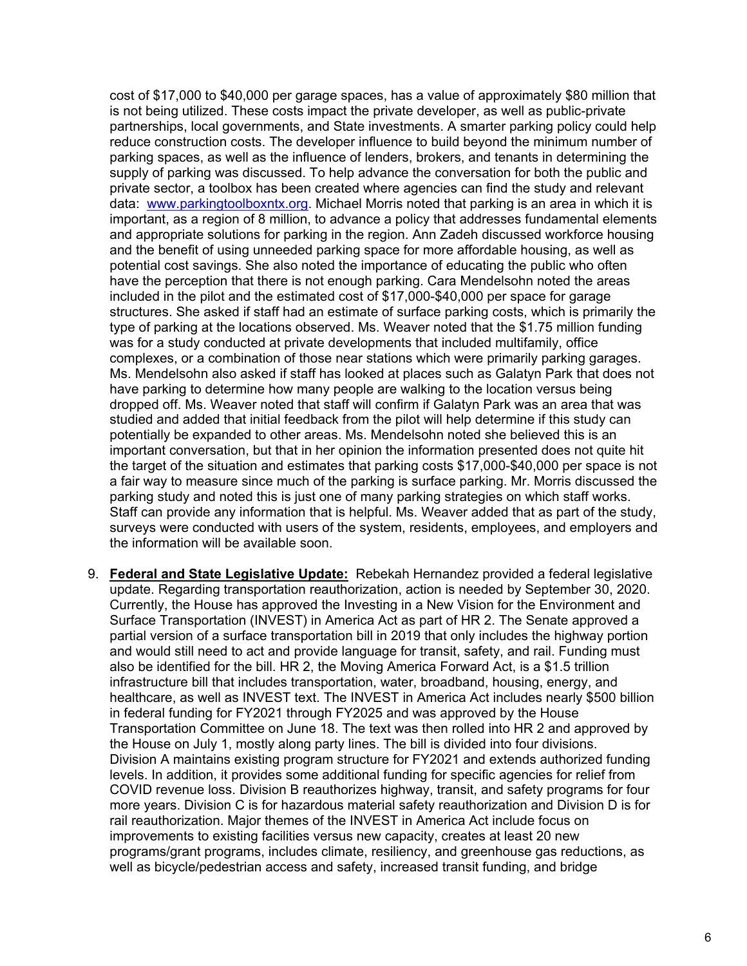cost of \$17,000 to \$40,000 per garage spaces, has a value of approximately \$80 million that is not being utilized. These costs impact the private developer, as well as public-private partnerships, local governments, and State investments. A smarter parking policy could help reduce construction costs. The developer influence to build beyond the minimum number of parking spaces, as well as the influence of lenders, brokers, and tenants in determining the supply of parking was discussed. To help advance the conversation for both the public and private sector, a toolbox has been created where agencies can find the study and relevant data: [www.parkingtoolboxntx.org.](http://www.parkingtoolboxntx.org/) Michael Morris noted that parking is an area in which it is important, as a region of 8 million, to advance a policy that addresses fundamental elements and appropriate solutions for parking in the region. Ann Zadeh discussed workforce housing and the benefit of using unneeded parking space for more affordable housing, as well as potential cost savings. She also noted the importance of educating the public who often have the perception that there is not enough parking. Cara Mendelsohn noted the areas included in the pilot and the estimated cost of \$17,000-\$40,000 per space for garage structures. She asked if staff had an estimate of surface parking costs, which is primarily the type of parking at the locations observed. Ms. Weaver noted that the \$1.75 million funding was for a study conducted at private developments that included multifamily, office complexes, or a combination of those near stations which were primarily parking garages. Ms. Mendelsohn also asked if staff has looked at places such as Galatyn Park that does not have parking to determine how many people are walking to the location versus being dropped off. Ms. Weaver noted that staff will confirm if Galatyn Park was an area that was studied and added that initial feedback from the pilot will help determine if this study can potentially be expanded to other areas. Ms. Mendelsohn noted she believed this is an important conversation, but that in her opinion the information presented does not quite hit the target of the situation and estimates that parking costs \$17,000-\$40,000 per space is not a fair way to measure since much of the parking is surface parking. Mr. Morris discussed the parking study and noted this is just one of many parking strategies on which staff works. Staff can provide any information that is helpful. Ms. Weaver added that as part of the study, surveys were conducted with users of the system, residents, employees, and employers and the information will be available soon.

9. **Federal and State Legislative Update:** Rebekah Hernandez provided a federal legislative update. Regarding transportation reauthorization, action is needed by September 30, 2020. Currently, the House has approved the Investing in a New Vision for the Environment and Surface Transportation (INVEST) in America Act as part of HR 2. The Senate approved a partial version of a surface transportation bill in 2019 that only includes the highway portion and would still need to act and provide language for transit, safety, and rail. Funding must also be identified for the bill. HR 2, the Moving America Forward Act, is a \$1.5 trillion infrastructure bill that includes transportation, water, broadband, housing, energy, and healthcare, as well as INVEST text. The INVEST in America Act includes nearly \$500 billion in federal funding for FY2021 through FY2025 and was approved by the House Transportation Committee on June 18. The text was then rolled into HR 2 and approved by the House on July 1, mostly along party lines. The bill is divided into four divisions. Division A maintains existing program structure for FY2021 and extends authorized funding levels. In addition, it provides some additional funding for specific agencies for relief from COVID revenue loss. Division B reauthorizes highway, transit, and safety programs for four more years. Division C is for hazardous material safety reauthorization and Division D is for rail reauthorization. Major themes of the INVEST in America Act include focus on improvements to existing facilities versus new capacity, creates at least 20 new programs/grant programs, includes climate, resiliency, and greenhouse gas reductions, as well as bicycle/pedestrian access and safety, increased transit funding, and bridge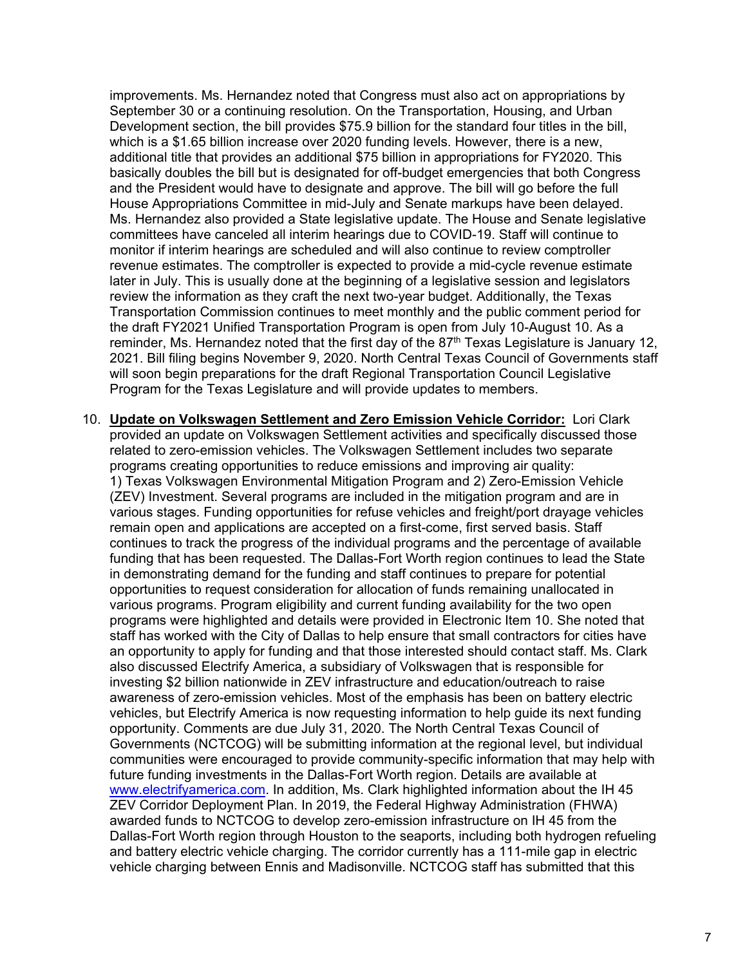improvements. Ms. Hernandez noted that Congress must also act on appropriations by September 30 or a continuing resolution. On the Transportation, Housing, and Urban Development section, the bill provides \$75.9 billion for the standard four titles in the bill, which is a \$1.65 billion increase over 2020 funding levels. However, there is a new, additional title that provides an additional \$75 billion in appropriations for FY2020. This basically doubles the bill but is designated for off-budget emergencies that both Congress and the President would have to designate and approve. The bill will go before the full House Appropriations Committee in mid-July and Senate markups have been delayed. Ms. Hernandez also provided a State legislative update. The House and Senate legislative committees have canceled all interim hearings due to COVID-19. Staff will continue to monitor if interim hearings are scheduled and will also continue to review comptroller revenue estimates. The comptroller is expected to provide a mid-cycle revenue estimate later in July. This is usually done at the beginning of a legislative session and legislators review the information as they craft the next two-year budget. Additionally, the Texas Transportation Commission continues to meet monthly and the public comment period for the draft FY2021 Unified Transportation Program is open from July 10-August 10. As a reminder, Ms. Hernandez noted that the first day of the 87<sup>th</sup> Texas Legislature is January 12, 2021. Bill filing begins November 9, 2020. North Central Texas Council of Governments staff will soon begin preparations for the draft Regional Transportation Council Legislative Program for the Texas Legislature and will provide updates to members.

10. **Update on Volkswagen Settlement and Zero Emission Vehicle Corridor:** Lori Clark provided an update on Volkswagen Settlement activities and specifically discussed those related to zero-emission vehicles. The Volkswagen Settlement includes two separate programs creating opportunities to reduce emissions and improving air quality: 1) Texas Volkswagen Environmental Mitigation Program and 2) Zero-Emission Vehicle (ZEV) Investment. Several programs are included in the mitigation program and are in various stages. Funding opportunities for refuse vehicles and freight/port drayage vehicles remain open and applications are accepted on a first-come, first served basis. Staff continues to track the progress of the individual programs and the percentage of available funding that has been requested. The Dallas-Fort Worth region continues to lead the State in demonstrating demand for the funding and staff continues to prepare for potential opportunities to request consideration for allocation of funds remaining unallocated in various programs. Program eligibility and current funding availability for the two open programs were highlighted and details were provided in Electronic Item 10. She noted that staff has worked with the City of Dallas to help ensure that small contractors for cities have an opportunity to apply for funding and that those interested should contact staff. Ms. Clark also discussed Electrify America, a subsidiary of Volkswagen that is responsible for investing \$2 billion nationwide in ZEV infrastructure and education/outreach to raise awareness of zero-emission vehicles. Most of the emphasis has been on battery electric vehicles, but Electrify America is now requesting information to help guide its next funding opportunity. Comments are due July 31, 2020. The North Central Texas Council of Governments (NCTCOG) will be submitting information at the regional level, but individual communities were encouraged to provide community-specific information that may help with future funding investments in the Dallas-Fort Worth region. Details are available at [www.electrifyamerica.com.](http://www.electrifyamerica.com/) In addition, Ms. Clark highlighted information about the IH 45 ZEV Corridor Deployment Plan. In 2019, the Federal Highway Administration (FHWA) awarded funds to NCTCOG to develop zero-emission infrastructure on IH 45 from the Dallas-Fort Worth region through Houston to the seaports, including both hydrogen refueling and battery electric vehicle charging. The corridor currently has a 111-mile gap in electric vehicle charging between Ennis and Madisonville. NCTCOG staff has submitted that this